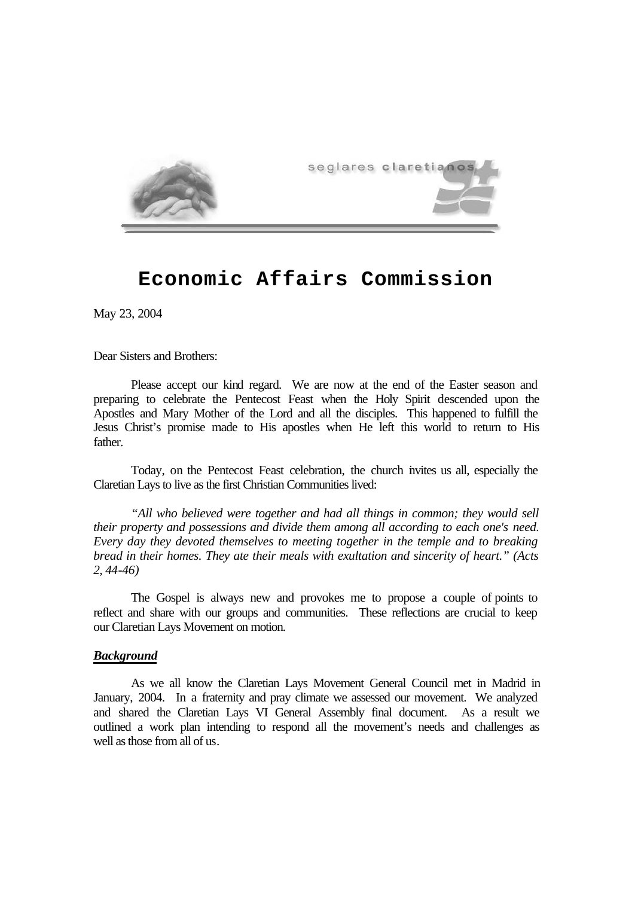

# **Economic Affairs Commission**

May 23, 2004

Dear Sisters and Brothers:

Please accept our kind regard. We are now at the end of the Easter season and preparing to celebrate the Pentecost Feast when the Holy Spirit descended upon the Apostles and Mary Mother of the Lord and all the disciples. This happened to fulfill the Jesus Christ's promise made to His apostles when He left this world to return to His father.

Today, on the Pentecost Feast celebration, the church invites us all, especially the Claretian Lays to live as the first Christian Communities lived:

*"All who believed were together and had all things in common; they would sell their property and possessions and divide them among all according to each one's need. Every day they devoted themselves to meeting together in the temple and to breaking bread in their homes. They ate their meals with exultation and sincerity of heart." (Acts 2, 44-46)*

The Gospel is always new and provokes me to propose a couple of points to reflect and share with our groups and communities. These reflections are crucial to keep our Claretian Lays Movement on motion.

# *Background*

As we all know the Claretian Lays Movement General Council met in Madrid in January, 2004. In a fraternity and pray climate we assessed our movement. We analyzed and shared the Claretian Lays VI General Assembly final document. As a result we outlined a work plan intending to respond all the movement's needs and challenges as well as those from all of us.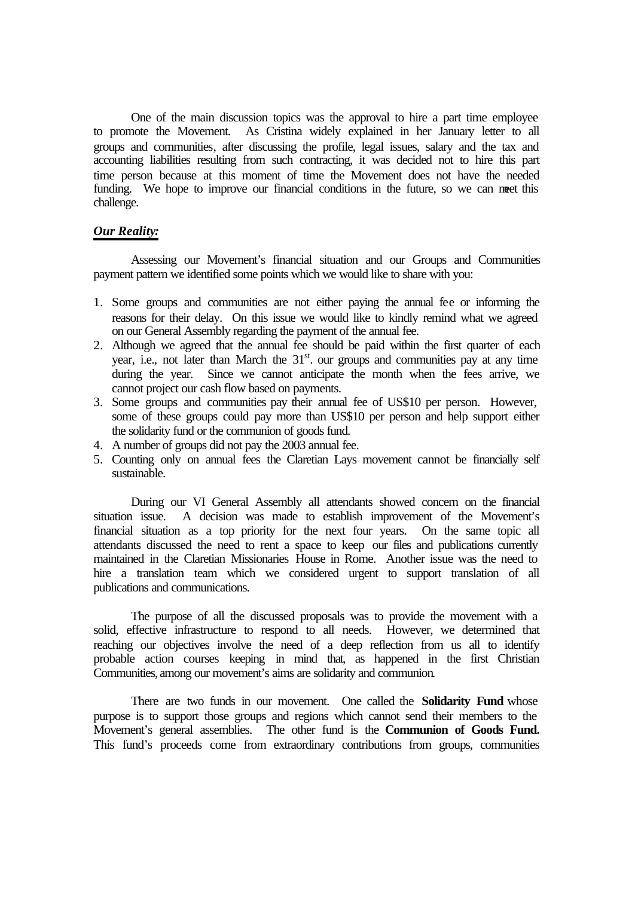One of the main discussion topics was the approval to hire a part time employee to promote the Movement. As Cristina widely explained in her January letter to all groups and communities, after discussing the profile, legal issues, salary and the tax and accounting liabilities resulting from such contracting, it was decided not to hire this part time person because at this moment of time the Movement does not have the needed funding. We hope to improve our financial conditions in the future, so we can meet this challenge.

# *Our Reality:*

Assessing our Movement's financial situation and our Groups and Communities payment pattern we identified some points which we would like to share with you:

- 1. Some groups and communities are not either paying the annual fee or informing the reasons for their delay. On this issue we would like to kindly remind what we agreed on our General Assembly regarding the payment of the annual fee.
- 2. Although we agreed that the annual fee should be paid within the first quarter of each year, i.e., not later than March the  $31<sup>st</sup>$  our groups and communities pay at any time during the year. Since we cannot anticipate the month when the fees arrive, we cannot project our cash flow based on payments.
- 3. Some groups and communities pay their annual fee of US\$10 per person. However, some of these groups could pay more than US\$10 per person and help support either the solidarity fund or the communion of goods fund.
- 4. A number of groups did not pay the 2003 annual fee.
- 5. Counting only on annual fees the Claretian Lays movement cannot be financially self sustainable.

During our VI General Assembly all attendants showed concern on the financial situation issue. A decision was made to establish improvement of the Movement's financial situation as a top priority for the next four years. On the same topic all attendants discussed the need to rent a space to keep our files and publications currently maintained in the Claretian Missionaries House in Rome. Another issue was the need to hire a translation team which we considered urgent to support translation of all publications and communications.

The purpose of all the discussed proposals was to provide the movement with a solid, effective infrastructure to respond to all needs. However, we determined that reaching our objectives involve the need of a deep reflection from us all to identify probable action courses keeping in mind that, as happened in the first Christian Communities, among our movement's aims are solidarity and communion.

There are two funds in our movement. One called the **Solidarity Fund** whose purpose is to support those groups and regions which cannot send their members to the Movement's general assemblies. The other fund is the **Communion of Goods Fund.**  This fund's proceeds come from extraordinary contributions from groups, communities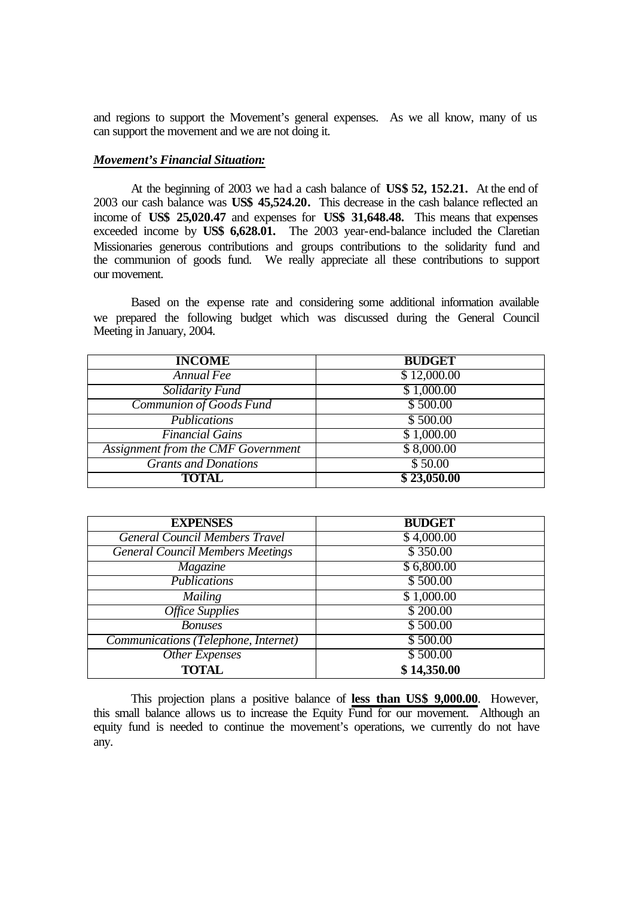and regions to support the Movement's general expenses. As we all know, many of us can support the movement and we are not doing it.

### *Movement's Financial Situation:*

At the beginning of 2003 we had a cash balance of **US\$ 52, 152.21.** At the end of 2003 our cash balance was **US\$ 45,524.20.** This decrease in the cash balance reflected an income of **US\$ 25,020.47** and expenses for **US\$ 31,648.48.** This means that expenses exceeded income by **US\$ 6,628.01.** The 2003 year-end-balance included the Claretian Missionaries generous contributions and groups contributions to the solidarity fund and the communion of goods fund. We really appreciate all these contributions to support our movement.

Based on the expense rate and considering some additional information available we prepared the following budget which was discussed during the General Council Meeting in January, 2004.

| <b>INCOME</b>                      | <b>BUDGET</b> |
|------------------------------------|---------------|
| Annual Fee                         | \$12,000.00   |
| Solidarity Fund                    | \$1,000.00    |
| Communion of Goods Fund            | \$500.00      |
| <b>Publications</b>                | \$500.00      |
| <b>Financial Gains</b>             | \$1,000.00    |
| Assignment from the CMF Government | \$8,000.00    |
| <b>Grants and Donations</b>        | \$50.00       |
| <b>TOTAL</b>                       | \$23,050.00   |

| <b>EXPENSES</b>                         | <b>BUDGET</b> |
|-----------------------------------------|---------------|
| <b>General Council Members Travel</b>   | \$4,000.00    |
| <b>General Council Members Meetings</b> | \$350.00      |
| Magazine                                | \$6,800.00    |
| <b>Publications</b>                     | \$500.00      |
| Mailing                                 | \$1,000.00    |
| <b>Office Supplies</b>                  | \$200.00      |
| <b>Bonuses</b>                          | \$500.00      |
| Communications (Telephone, Internet)    | \$500.00      |
| Other Expenses                          | \$500.00      |
| <b>TOTAL</b>                            | \$14,350.00   |

This projection plans a positive balance of **less than US\$ 9,000.00**. However, this small balance allows us to increase the Equity Fund for our movement. Although an equity fund is needed to continue the movement's operations, we currently do not have any.